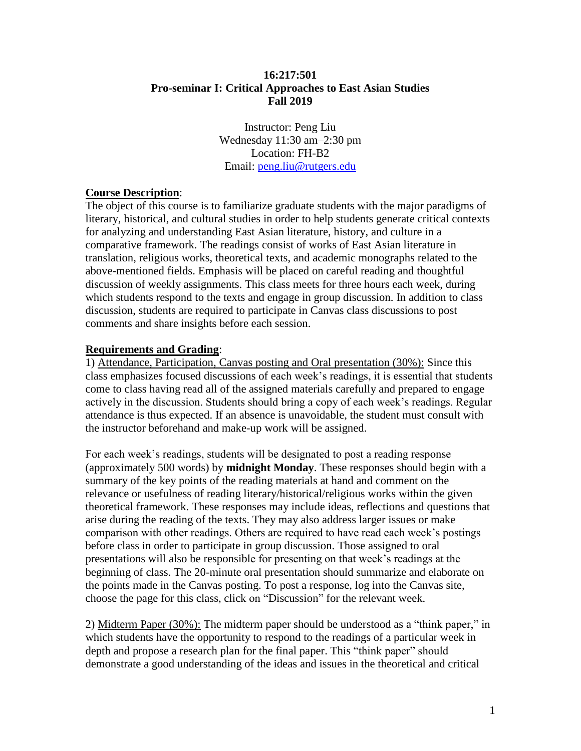# **16:217:501 Pro-seminar I: Critical Approaches to East Asian Studies Fall 2019**

Instructor: Peng Liu Wednesday 11:30 am–2:30 pm Location: FH-B2 Email: [peng.liu@rutgers.edu](mailto:peng.liu@rutgers.edu)

# **Course Description**:

The object of this course is to familiarize graduate students with the major paradigms of literary, historical, and cultural studies in order to help students generate critical contexts for analyzing and understanding East Asian literature, history, and culture in a comparative framework. The readings consist of works of East Asian literature in translation, religious works, theoretical texts, and academic monographs related to the above-mentioned fields. Emphasis will be placed on careful reading and thoughtful discussion of weekly assignments. This class meets for three hours each week, during which students respond to the texts and engage in group discussion. In addition to class discussion, students are required to participate in Canvas class discussions to post comments and share insights before each session.

#### **Requirements and Grading**:

1) Attendance, Participation, Canvas posting and Oral presentation (30%): Since this class emphasizes focused discussions of each week's readings, it is essential that students come to class having read all of the assigned materials carefully and prepared to engage actively in the discussion. Students should bring a copy of each week's readings. Regular attendance is thus expected. If an absence is unavoidable, the student must consult with the instructor beforehand and make-up work will be assigned.

For each week's readings, students will be designated to post a reading response (approximately 500 words) by **midnight Monday**. These responses should begin with a summary of the key points of the reading materials at hand and comment on the relevance or usefulness of reading literary/historical/religious works within the given theoretical framework. These responses may include ideas, reflections and questions that arise during the reading of the texts. They may also address larger issues or make comparison with other readings. Others are required to have read each week's postings before class in order to participate in group discussion. Those assigned to oral presentations will also be responsible for presenting on that week's readings at the beginning of class. The 20-minute oral presentation should summarize and elaborate on the points made in the Canvas posting. To post a response, log into the Canvas site, choose the page for this class, click on "Discussion" for the relevant week.

2) Midterm Paper (30%): The midterm paper should be understood as a "think paper," in which students have the opportunity to respond to the readings of a particular week in depth and propose a research plan for the final paper. This "think paper" should demonstrate a good understanding of the ideas and issues in the theoretical and critical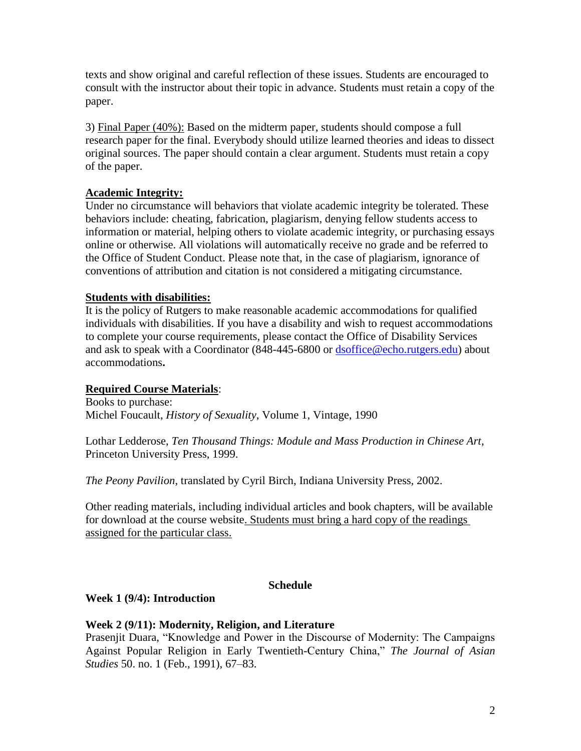texts and show original and careful reflection of these issues. Students are encouraged to consult with the instructor about their topic in advance. Students must retain a copy of the paper.

3) Final Paper (40%): Based on the midterm paper, students should compose a full research paper for the final. Everybody should utilize learned theories and ideas to dissect original sources. The paper should contain a clear argument. Students must retain a copy of the paper.

# **Academic Integrity:**

Under no circumstance will behaviors that violate academic integrity be tolerated. These behaviors include: cheating, fabrication, plagiarism, denying fellow students access to information or material, helping others to violate academic integrity, or purchasing essays online or otherwise. All violations will automatically receive no grade and be referred to the Office of Student Conduct. Please note that, in the case of plagiarism, ignorance of conventions of attribution and citation is not considered a mitigating circumstance.

## **Students with disabilities:**

It is the policy of Rutgers to make reasonable academic accommodations for qualified individuals with disabilities. If you have a disability and wish to request accommodations to complete your course requirements, please contact the Office of Disability Services and ask to speak with a Coordinator (848-445-6800 or [dsoffice@echo.rutgers.edu\)](mailto:dsoffice@echo.rutgers.edu) about accommodations**.**

# **Required Course Materials**:

Books to purchase: Michel Foucault, *History of Sexuality*, Volume 1, Vintage, 1990

Lothar Ledderose, *Ten Thousand Things: Module and Mass Production in Chinese Art*, Princeton University Press, 1999.

*The Peony Pavilion*, translated by Cyril Birch, Indiana University Press, 2002.

Other reading materials, including individual articles and book chapters, will be available for download at the course website. Students must bring a hard copy of the readings assigned for the particular class.

## **Schedule**

## **Week 1 (9/4): Introduction**

## **Week 2 (9/11): Modernity, Religion, and Literature**

Prasenjit Duara, "Knowledge and Power in the Discourse of Modernity: The Campaigns Against Popular Religion in Early Twentieth-Century China," *The Journal of Asian Studies* 50. no. 1 (Feb., 1991), 67–83.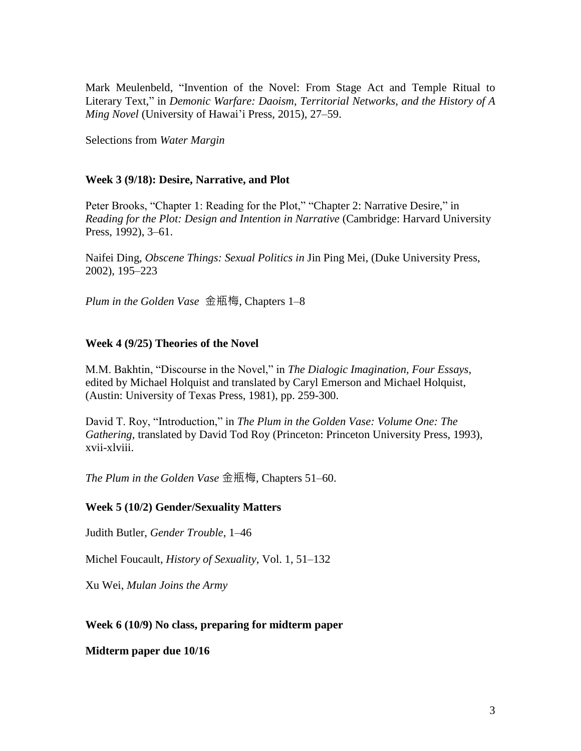Mark Meulenbeld, "Invention of the Novel: From Stage Act and Temple Ritual to Literary Text," in *Demonic Warfare: Daoism, Territorial Networks, and the History of A Ming Novel* (University of Hawai'i Press, 2015), 27–59.

Selections from *Water Margin*

## **Week 3 (9/18): Desire, Narrative, and Plot**

Peter Brooks, "Chapter 1: Reading for the Plot," "Chapter 2: Narrative Desire," in *Reading for the Plot: Design and Intention in Narrative* (Cambridge: Harvard University Press, 1992), 3–61.

Naifei Ding, *Obscene Things: Sexual Politics in* Jin Ping Mei, (Duke University Press, 2002), 195–223

*Plum in the Golden Vase* 金瓶梅, Chapters 1–8

## **Week 4 (9/25) Theories of the Novel**

M.M. Bakhtin, "Discourse in the Novel," in *The Dialogic Imagination, Four Essays*, edited by Michael Holquist and translated by Caryl Emerson and Michael Holquist, (Austin: University of Texas Press, 1981), pp. 259-300.

David T. Roy, "Introduction," in *The Plum in the Golden Vase: Volume One: The Gathering*, translated by David Tod Roy (Princeton: Princeton University Press, 1993), xvii-xlviii.

*The Plum in the Golden Vase* 金瓶梅, Chapters 51–60.

#### **Week 5 (10/2) Gender/Sexuality Matters**

Judith Butler, *Gender Trouble*, 1–46

Michel Foucault, *History of Sexuality*, Vol. 1, 51–132

Xu Wei, *Mulan Joins the Army*

## **Week 6 (10/9) No class, preparing for midterm paper**

**Midterm paper due 10/16**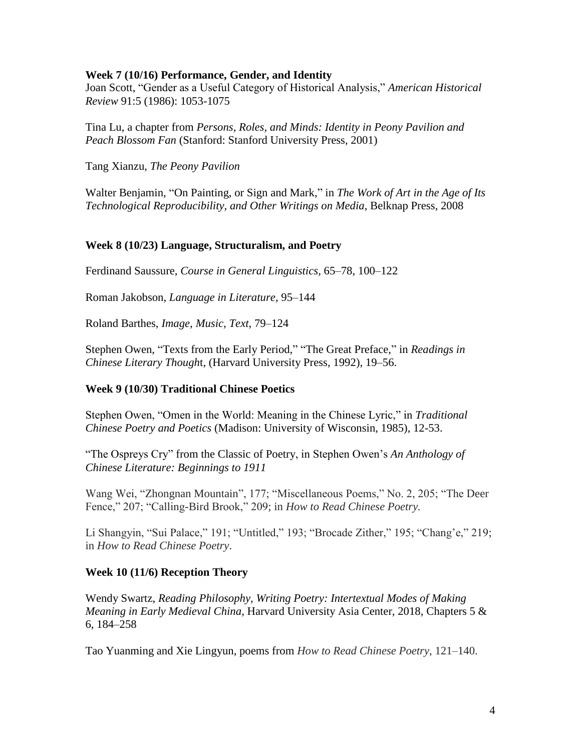#### **Week 7 (10/16) Performance, Gender, and Identity**

Joan Scott, "Gender as a Useful Category of Historical Analysis," *American Historical Review* 91:5 (1986): 1053-1075

Tina Lu, a chapter from *Persons, Roles, and Minds: Identity in Peony Pavilion and Peach Blossom Fan* (Stanford: Stanford University Press, 2001)

Tang Xianzu, *The Peony Pavilion*

Walter Benjamin, "On Painting, or Sign and Mark," in *The Work of Art in the Age of Its Technological Reproducibility, and Other Writings on Media*, Belknap Press, 2008

## **Week 8 (10/23) Language, Structuralism, and Poetry**

Ferdinand Saussure, *Course in General Linguistics*, 65–78, 100–122

Roman Jakobson, *Language in Literature*, 95–144

Roland Barthes, *Image, Music, Text*, 79–124

Stephen Owen, "Texts from the Early Period," "The Great Preface," in *Readings in Chinese Literary Though*t, (Harvard University Press, 1992), 19–56.

## **Week 9 (10/30) Traditional Chinese Poetics**

Stephen Owen, "Omen in the World: Meaning in the Chinese Lyric," in *Traditional Chinese Poetry and Poetics* (Madison: University of Wisconsin, 1985), 12-53.

"The Ospreys Cry" from the Classic of Poetry, in Stephen Owen's *An Anthology of Chinese Literature: Beginnings to 1911*

Wang Wei, "Zhongnan Mountain", 177; "Miscellaneous Poems," No. 2, 205; "The Deer Fence," 207; "Calling-Bird Brook," 209; in *How to Read Chinese Poetry.*

Li Shangyin, "Sui Palace," 191; "Untitled," 193; "Brocade Zither," 195; "Chang'e," 219; in *How to Read Chinese Poetry*.

## **Week 10 (11/6) Reception Theory**

Wendy Swartz, *Reading Philosophy, Writing Poetry: Intertextual Modes of Making Meaning in Early Medieval China*, Harvard University Asia Center, 2018, Chapters 5 & 6, 184–258

Tao Yuanming and Xie Lingyun, poems from *How to Read Chinese Poetry*, 121–140.